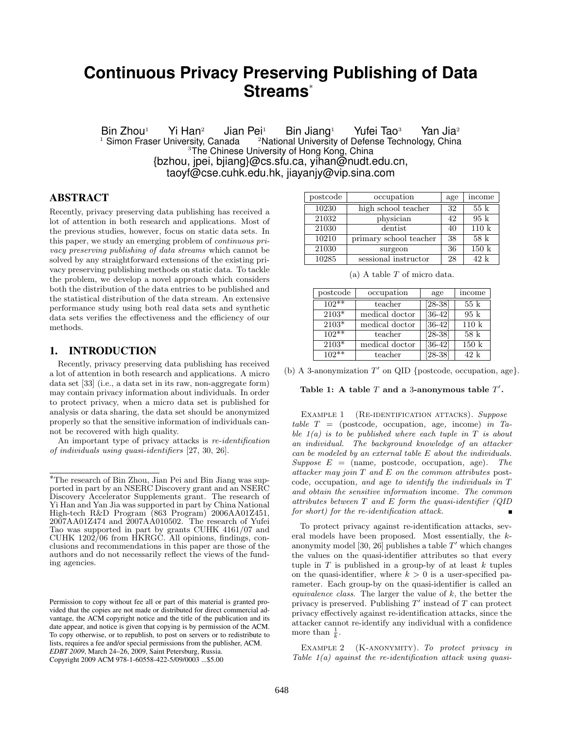# **Continuous Privacy Preserving Publishing of Data Streams**<sup>∗</sup>

Bin Zhou<sup>1</sup> Yi Han<sup>2</sup> Jian Pei<sup>1</sup> Bin Jiang<sup>1</sup> Yufei Tao<sup>3</sup> Yan Jia<sup>2</sup><br><sup>1</sup> Simon Fraser University, Canada <sup>2</sup>National University of Defense Technology, China  $2$ National University of Defense Technology, China <sup>3</sup>The Chinese University of Hong Kong, China {bzhou, jpei, bjiang}@cs.sfu.ca, yihan@nudt.edu.cn, taoyf@cse.cuhk.edu.hk, jiayanjy@vip.sina.com

# ABSTRACT

Recently, privacy preserving data publishing has received a lot of attention in both research and applications. Most of the previous studies, however, focus on static data sets. In this paper, we study an emerging problem of continuous privacy preserving publishing of data streams which cannot be solved by any straightforward extensions of the existing privacy preserving publishing methods on static data. To tackle the problem, we develop a novel approach which considers both the distribution of the data entries to be published and the statistical distribution of the data stream. An extensive performance study using both real data sets and synthetic data sets verifies the effectiveness and the efficiency of our methods.

# 1. INTRODUCTION

Recently, privacy preserving data publishing has received a lot of attention in both research and applications. A micro data set [33] (i.e., a data set in its raw, non-aggregate form) may contain privacy information about individuals. In order to protect privacy, when a micro data set is published for analysis or data sharing, the data set should be anonymized properly so that the sensitive information of individuals cannot be recovered with high quality.

An important type of privacy attacks is re-identification of individuals using quasi-identifiers [27, 30, 26].

| postcode | occupation             | age | income           |
|----------|------------------------|-----|------------------|
| 10230    | high school teacher    | 32  | 55k              |
| 21032    | physician              | 42  | 95k              |
| 21030    | dentist                | 40  | 110 k            |
| 10210    | primary school teacher | 38  | $58\ \mathrm{k}$ |
| 21030    | surgeon                | 36  | 150 k            |
| 10285    | sessional instructor   | 28  | 42 k             |

(a) A table  $T$  of micro data.

| postcode | occupation     | age       | income         |
|----------|----------------|-----------|----------------|
| $102**$  | teacher        | $[28-38]$ | 55k            |
| $2103*$  | medical doctor | $[36-42]$ | $95 \text{ k}$ |
| $2103*$  | medical doctor | $[36-42]$ | 110 k          |
| $102**$  | teacher        | $[28-38]$ | 58k            |
| $2103*$  | medical doctor | [36-42]   | 150k           |
| $102**$  | teacher        | [28-38]   | 42 k           |

(b) A 3-anonymization  $T'$  on QID {postcode, occupation, age}.

## Table 1: A table  $T$  and a 3-anonymous table  $T'$ .

EXAMPLE 1 (RE-IDENTIFICATION ATTACKS). Suppose table  $T =$  (postcode, occupation, age, income) in Table  $1(a)$  is to be published where each tuple in T is about an individual. The background knowledge of an attacker can be modeled by an external table E about the individuals. Suppose  $E = \text{(name, postcode, occupation, age)}.$  The attacker may join T and E on the common attributes postcode, occupation, and age to identify the individuals in T and obtain the sensitive information income. The common attributes between  $T$  and  $E$  form the quasi-identifier (QID for short) for the re-identification attack.

To protect privacy against re-identification attacks, several models have been proposed. Most essentially, the kanonymity model [30, 26] publishes a table  $T'$  which changes the values on the quasi-identifier attributes so that every tuple in  $T$  is published in a group-by of at least  $k$  tuples on the quasi-identifier, where  $k > 0$  is a user-specified parameter. Each group-by on the quasi-identifier is called an equivalence class. The larger the value of  $k$ , the better the privacy is preserved. Publishing  $T'$  instead of  $T$  can protect privacy effectively against re-identification attacks, since the attacker cannot re-identify any individual with a confidence more than  $\frac{1}{k}$ .

EXAMPLE 2 (K-ANONYMITY). To protect privacy in Table  $1(a)$  against the re-identification attack using quasi-

<sup>∗</sup>The research of Bin Zhou, Jian Pei and Bin Jiang was supported in part by an NSERC Discovery grant and an NSERC Discovery Accelerator Supplements grant. The research of Yi Han and Yan Jia was supported in part by China National High-tech R&D Program (863 Program) 2006AA01Z451, 2007AA01Z474 and 2007AA010502. The research of Yufei Tao was supported in part by grants CUHK 4161/07 and CUHK 1202/06 from HKRGC. All opinions, findings, conclusions and recommendations in this paper are those of the authors and do not necessarily reflect the views of the funding agencies.

Permission to copy without fee all or part of this material is granted provided that the copies are not made or distributed for direct commercial advantage, the ACM copyright notice and the title of the publication and its date appear, and notice is given that copying is by permission of the ACM. To copy otherwise, or to republish, to post on servers or to redistribute to lists, requires a fee and/or special permissions from the publisher, ACM. *EDBT 2009*, March 24–26, 2009, Saint Petersburg, Russia. Copyright 2009 ACM 978-1-60558-422-5/09/0003 ...\$5.00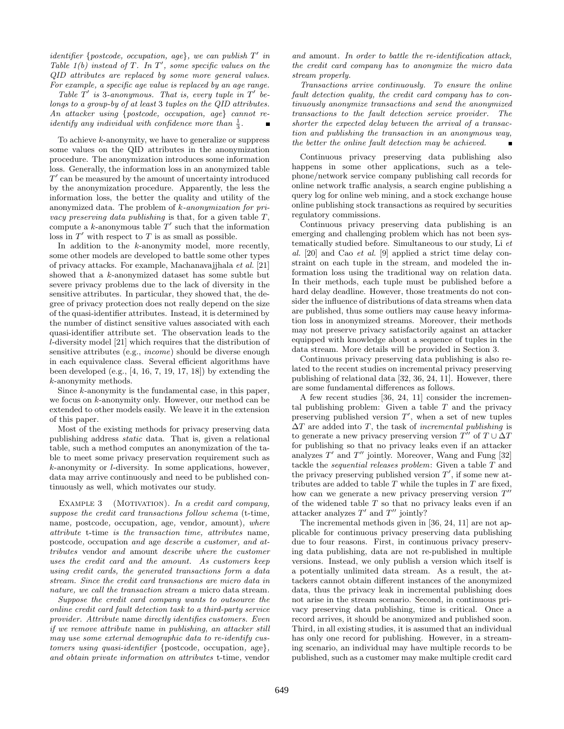identifier {postcode, occupation, age}, we can publish  $T'$  in Table  $1(b)$  instead of T. In T', some specific values on the QID attributes are replaced by some more general values. For example, a specific age value is replaced by an age range.

Table  $T'$  is 3-anonymous. That is, every tuple in  $T'$  belongs to a group-by of at least 3 tuples on the QID attributes. An attacker using {postcode, occupation, age} cannot reidentify any individual with confidence more than  $\frac{1}{3}$ .

To achieve k-anonymity, we have to generalize or suppress some values on the QID attributes in the anonymization procedure. The anonymization introduces some information loss. Generally, the information loss in an anonymized table  $T'$  can be measured by the amount of uncertainty introduced by the anonymization procedure. Apparently, the less the information loss, the better the quality and utility of the anonymized data. The problem of k-anonymization for privacy preserving data publishing is that, for a given table  $T$ , compute a  $k$ -anonymous table  $T'$  such that the information loss in  $T'$  with respect to T is as small as possible.

In addition to the k-anonymity model, more recently, some other models are developed to battle some other types of privacy attacks. For example, Machanavajjhala et al. [21] showed that a k-anonymized dataset has some subtle but severe privacy problems due to the lack of diversity in the sensitive attributes. In particular, they showed that, the degree of privacy protection does not really depend on the size of the quasi-identifier attributes. Instead, it is determined by the number of distinct sensitive values associated with each quasi-identifier attribute set. The observation leads to the l-diversity model [21] which requires that the distribution of sensitive attributes (e.g., income) should be diverse enough in each equivalence class. Several efficient algorithms have been developed  $(e.g., [4, 16, 7, 19, 17, 18])$  by extending the k-anonymity methods.

Since k-anonymity is the fundamental case, in this paper, we focus on k-anonymity only. However, our method can be extended to other models easily. We leave it in the extension of this paper.

Most of the existing methods for privacy preserving data publishing address static data. That is, given a relational table, such a method computes an anonymization of the table to meet some privacy preservation requirement such as k-anonymity or l-diversity. In some applications, however, data may arrive continuously and need to be published continuously as well, which motivates our study.

EXAMPLE  $3$  (MOTIVATION). In a credit card company, suppose the credit card transactions follow schema (t-time, name, postcode, occupation, age, vendor, amount), where attribute t-time is the transaction time, attributes name, postcode, occupation and age describe a customer, and attributes vendor and amount describe where the customer uses the credit card and the amount. As customers keep using credit cards, the generated transactions form a data stream. Since the credit card transactions are micro data in nature, we call the transaction stream a micro data stream.

Suppose the credit card company wants to outsource the online credit card fault detection task to a third-party service provider. Attribute name directly identifies customers. Even if we remove attribute name in publishing, an attacker still may use some external demographic data to re-identify customers using quasi-identifier {postcode, occupation, age}, and obtain private information on attributes t-time, vendor

and amount. In order to battle the re-identification attack, the credit card company has to anonymize the micro data stream properly.

Transactions arrive continuously. To ensure the online fault detection quality, the credit card company has to continuously anonymize transactions and send the anonymized transactions to the fault detection service provider. The shorter the expected delay between the arrival of a transaction and publishing the transaction in an anonymous way, the better the online fault detection may be achieved.

Continuous privacy preserving data publishing also happens in some other applications, such as a telephone/network service company publishing call records for online network traffic analysis, a search engine publishing a query log for online web mining, and a stock exchange house online publishing stock transactions as required by securities regulatory commissions.

Continuous privacy preserving data publishing is an emerging and challenging problem which has not been systematically studied before. Simultaneous to our study, Li et al. [20] and Cao et al. [9] applied a strict time delay constraint on each tuple in the stream, and modeled the information loss using the traditional way on relation data. In their methods, each tuple must be published before a hard delay deadline. However, those treatments do not consider the influence of distributions of data streams when data are published, thus some outliers may cause heavy information loss in anonymized streams. Moreover, their methods may not preserve privacy satisfactorily against an attacker equipped with knowledge about a sequence of tuples in the data stream. More details will be provided in Section 3.

Continuous privacy preserving data publishing is also related to the recent studies on incremental privacy preserving publishing of relational data [32, 36, 24, 11]. However, there are some fundamental differences as follows.

A few recent studies [36, 24, 11] consider the incremental publishing problem: Given a table  $T$  and the privacy preserving published version  $T'$ , when a set of new tuples  $\Delta T$  are added into T, the task of incremental publishing is to generate a new privacy preserving version  $T''$  of  $T \cup \Delta T$ for publishing so that no privacy leaks even if an attacker analyzes  $T'$  and  $T''$  jointly. Moreover, Wang and Fung [32] tackle the sequential releases problem: Given a table T and the privacy preserving published version  $T'$ , if some new attributes are added to table  $T$  while the tuples in  $T$  are fixed, how can we generate a new privacy preserving version  $T''$ of the widened table  $T$  so that no privacy leaks even if an attacker analyzes  $T'$  and  $T''$  jointly?

The incremental methods given in [36, 24, 11] are not applicable for continuous privacy preserving data publishing due to four reasons. First, in continuous privacy preserving data publishing, data are not re-published in multiple versions. Instead, we only publish a version which itself is a potentially unlimited data stream. As a result, the attackers cannot obtain different instances of the anonymized data, thus the privacy leak in incremental publishing does not arise in the stream scenario. Second, in continuous privacy preserving data publishing, time is critical. Once a record arrives, it should be anonymized and published soon. Third, in all existing studies, it is assumed that an individual has only one record for publishing. However, in a streaming scenario, an individual may have multiple records to be published, such as a customer may make multiple credit card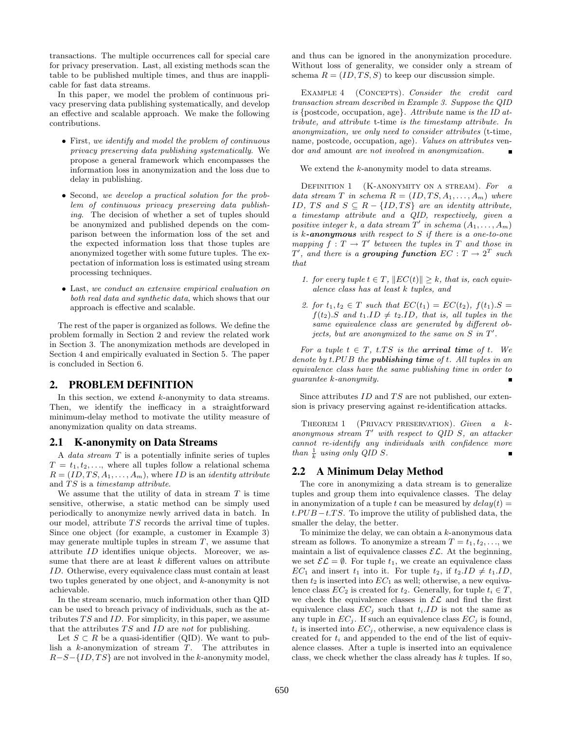transactions. The multiple occurrences call for special care for privacy preservation. Last, all existing methods scan the table to be published multiple times, and thus are inapplicable for fast data streams.

In this paper, we model the problem of continuous privacy preserving data publishing systematically, and develop an effective and scalable approach. We make the following contributions.

- First, we identify and model the problem of continuous privacy preserving data publishing systematically. We propose a general framework which encompasses the information loss in anonymization and the loss due to delay in publishing.
- Second, we develop a practical solution for the problem of continuous privacy preserving data publishing. The decision of whether a set of tuples should be anonymized and published depends on the comparison between the information loss of the set and the expected information loss that those tuples are anonymized together with some future tuples. The expectation of information loss is estimated using stream processing techniques.
- Last, we conduct an extensive empirical evaluation on both real data and synthetic data, which shows that our approach is effective and scalable.

The rest of the paper is organized as follows. We define the problem formally in Section 2 and review the related work in Section 3. The anonymization methods are developed in Section 4 and empirically evaluated in Section 5. The paper is concluded in Section 6.

# 2. PROBLEM DEFINITION

In this section, we extend  $k$ -anonymity to data streams. Then, we identify the inefficacy in a straightforward minimum-delay method to motivate the utility measure of anonymization quality on data streams.

#### 2.1 K-anonymity on Data Streams

A data stream T is a potentially infinite series of tuples  $T = t_1, t_2, \ldots$ , where all tuples follow a relational schema  $R = (ID, TS, A_1, \ldots, A_m)$ , where ID is an *identity attribute* and TS is a *timestamp* attribute.

We assume that the utility of data in stream  $T$  is time sensitive, otherwise, a static method can be simply used periodically to anonymize newly arrived data in batch. In our model, attribute  $TS$  records the arrival time of tuples. Since one object (for example, a customer in Example 3) may generate multiple tuples in stream  $T$ , we assume that attribute ID identifies unique objects. Moreover, we assume that there are at least  $k$  different values on attribute ID. Otherwise, every equivalence class must contain at least two tuples generated by one object, and k-anonymity is not achievable.

In the stream scenario, much information other than QID can be used to breach privacy of individuals, such as the attributes  $TS$  and  $ID$ . For simplicity, in this paper, we assume that the attributes  $TS$  and  $ID$  are not for publishing.

Let  $S \subset R$  be a quasi-identifier (QID). We want to publish a k-anonymization of stream T. The attributes in  $R-S-\{ID, TS\}$  are not involved in the k-anonymity model, and thus can be ignored in the anonymization procedure. Without loss of generality, we consider only a stream of schema  $R = (ID, TS, S)$  to keep our discussion simple.

EXAMPLE 4 (CONCEPTS). Consider the credit card transaction stream described in Example 3. Suppose the QID is {postcode, occupation, age}. Attribute name is the ID attribute, and attribute t-time is the timestamp attribute. In anonymization, we only need to consider attributes (t-time, name, postcode, occupation, age). Values on attributes vendor and amount are not involved in anonymization.

We extend the k-anonymity model to data streams.

DEFINITION 1  $(K-ANONYMITY ON A STREAM)$ . For data stream T in schema  $R = (ID, TS, A_1, \ldots, A_m)$  where ID, TS and  $S \subseteq R - \{ID, TS\}$  are an identity attribute, a timestamp attribute and a QID, respectively, given a positive integer k, a data stream  $T'$  in schema  $(A_1, \ldots, A_m)$ is  $k$ -anonymous with respect to  $S$  if there is a one-to-one mapping  $f: T \to T'$  between the tuples in T and those in T', and there is a grouping function  $EC: T \rightarrow 2^T$  such that

- 1. for every tuple  $t \in T$ ,  $||EC(t)|| \geq k$ , that is, each equivalence class has at least k tuples, and
- 2. for  $t_1, t_2 \in T$  such that  $EC(t_1) = EC(t_2)$ ,  $f(t_1) . S =$  $f(t_2)$ .S and  $t_1.ID \neq t_2.ID$ , that is, all tuples in the same equivalence class are generated by different objects, but are anonymized to the same on  $S$  in  $T'$ .

For a tuple  $t \in T$ ,  $t.TS$  is the **arrival time** of t. We denote by  $t.PUB$  the **publishing time** of  $t$ . All tuples in an equivalence class have the same publishing time in order to guarantee k-anonymity.

Since attributes  $ID$  and  $TS$  are not published, our extension is privacy preserving against re-identification attacks.

THEOREM 1 (PRIVACY PRESERVATION). Given a kanonymous stream  $T'$  with respect to QID S, an attacker cannot re-identify any individuals with confidence more than  $\frac{1}{k}$  using only QID S.

# 2.2 A Minimum Delay Method

The core in anonymizing a data stream is to generalize tuples and group them into equivalence classes. The delay in anonymization of a tuple t can be measured by  $delay(t) =$  $t.PUB - t.TS$ . To improve the utility of published data, the smaller the delay, the better.

To minimize the delay, we can obtain a  $k$ -anonymous data stream as follows. To anonymize a stream  $T = t_1, t_2, \ldots$ , we maintain a list of equivalence classes  $\mathcal{EL}$ . At the beginning, we set  $\mathcal{EL} = \emptyset$ . For tuple  $t_1$ , we create an equivalence class  $EC_1$  and insert  $t_1$  into it. For tuple  $t_2$ , if  $t_2.ID \neq t_1.ID$ , then  $t_2$  is inserted into  $EC_1$  as well; otherwise, a new equivalence class  $EC_2$  is created for  $t_2$ . Generally, for tuple  $t_i \in T$ , we check the equivalence classes in  $\mathcal{EL}$  and find the first equivalence class  $EC_i$  such that  $t_i.ID$  is not the same as any tuple in  $EC_i$ . If such an equivalence class  $EC_i$  is found,  $t_i$  is inserted into  $EC_i$ , otherwise, a new equivalence class is created for  $t_i$  and appended to the end of the list of equivalence classes. After a tuple is inserted into an equivalence class, we check whether the class already has  $k$  tuples. If so,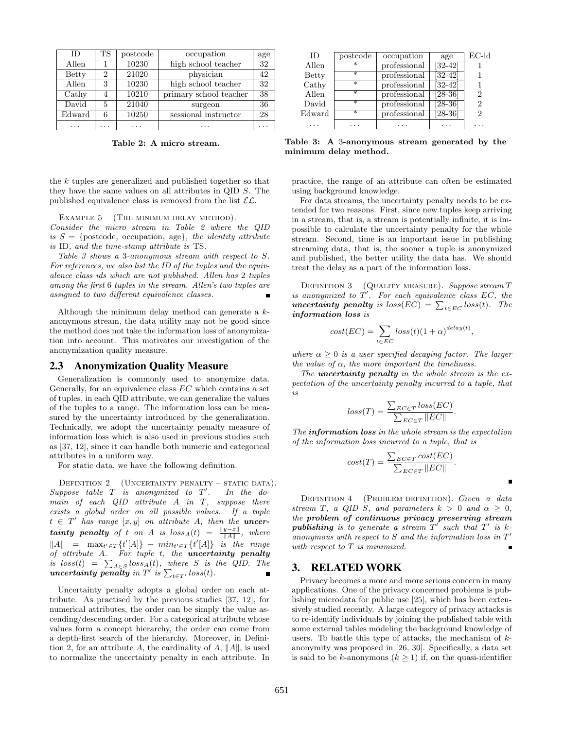| ΙD           | TS | postcode | occupation             | age |
|--------------|----|----------|------------------------|-----|
| Allen        |    | 10230    | high school teacher    | 32  |
| <b>Betty</b> | 2  | 21020    | physician              | 42  |
| Allen        | 3  | 10230    | high school teacher    | 32  |
| Cathy        | 4  | 10210    | primary school teacher | 38  |
| David        | 5  | 21040    | surgeon                | 36  |
| Edward       | 6  | 10250    | sessional instructor   | 28  |
|              |    |          |                        |     |

Table 2: A micro stream.

the k tuples are generalized and published together so that they have the same values on all attributes in QID S. The published equivalence class is removed from the list  $\mathcal{EL}$ .

EXAMPLE 5 (THE MINIMUM DELAY METHOD).

Consider the micro stream in Table 2 where the QID is  $S = \{postcode, occupation, age\}$ , the identity attribute is ID, and the time-stamp attribute is TS.

Table 3 shows a 3-anonymous stream with respect to S. For references, we also list the ID of the tuples and the equivalence class ids which are not published. Allen has 2 tuples among the first 6 tuples in the stream. Allen's two tuples are assigned to two different equivalence classes.

Although the minimum delay method can generate a kanonymous stream, the data utility may not be good since the method does not take the information loss of anonymization into account. This motivates our investigation of the anonymization quality measure.

#### 2.3 Anonymization Quality Measure

Generalization is commonly used to anonymize data. Generally, for an equivalence class EC which contains a set of tuples, in each QID attribute, we can generalize the values of the tuples to a range. The information loss can be measured by the uncertainty introduced by the generalization. Technically, we adopt the uncertainty penalty measure of information loss which is also used in previous studies such as [37, 12], since it can handle both numeric and categorical attributes in a uniform way.

For static data, we have the following definition.

DEFINITION 2 (UNCERTAINTY PENALTY – STATIC DATA). Suppose table  $T$  is anonymized to  $T'$ . In the domain of each QID attribute  $A$  in  $T$ , suppose there exists a global order on all possible values. If a tuple  $t \in T'$  has range  $[x, y]$  on attribute A, then the **uncer**tainty penalty of t on A is  $loss_A(t) = \frac{\|y-x\|}{\|A\|}$ , where  $||A|| = \max_{t' \in T} \{t'[A]\} - \min_{t' \in T} \{t'[A]\}$  is the range of attribute A. For tuple t, the **uncertainty penalty**<br>is  $loss(t) = \sum_{A \in S} loss_A(t)$ , where S is the QID. The  $\text{uncertainty}$   $\sum_{A \in S} \text{loss}_{A}(t),$  where  $S$  is<br>  $\text{uncertainty}$   $\text{penalty}$  in  $T'$  is  $\sum_{t \in T'} \text{loss}(t).$ 

Uncertainty penalty adopts a global order on each attribute. As practised by the previous studies [37, 12], for numerical attributes, the order can be simply the value ascending/descending order. For a categorical attribute whose values form a concept hierarchy, the order can come from a depth-first search of the hierarchy. Moreover, in Definition 2, for an attribute A, the cardinality of A,  $||A||$ , is used to normalize the uncertainty penalty in each attribute. In

| ID.    | postcode  | occupation   | age                  | $EC$ -id |
|--------|-----------|--------------|----------------------|----------|
| Allen  |           | professional | $[32-42]$            |          |
| Betty  |           | professional | $[32-42]$            |          |
| Cathy  | ∗         | professional | $\left[32-42\right]$ |          |
| Allen  | $^{\ast}$ | professional | $[28-36]$            | 2        |
| David  | $\ast$    | professional | $[28-36]$            | 2        |
| Edward | $\ast$    | professional | $[28-36]$            | 2        |
|        |           |              |                      |          |

Table 3: A 3-anonymous stream generated by the minimum delay method.

practice, the range of an attribute can often be estimated using background knowledge.

For data streams, the uncertainty penalty needs to be extended for two reasons. First, since new tuples keep arriving in a stream, that is, a stream is potentially infinite, it is impossible to calculate the uncertainty penalty for the whole stream. Second, time is an important issue in publishing streaming data, that is, the sooner a tuple is anonymized and published, the better utility the data has. We should treat the delay as a part of the information loss.

DEFINITION 3 (QUALITY MEASURE). Suppose stream T is anonymized to  $T'$ . For each equivalence class EC, the is anonymized to 1. For each equivalence class EC, the<br> **uncertainty penalty** is  $loss(EC) = \sum_{t \in EC} loss(t)$ . The information loss is

$$
cost(EC) = \sum_{t \in EC} loss(t)(1+\alpha)^{delay(t)},
$$

where  $\alpha \geq 0$  is a user specified decaying factor. The larger the value of  $\alpha$ , the more important the timeliness.

The **uncertainty penalty** in the whole stream is the expectation of the uncertainty penalty incurred to a tuple, that is

$$
loss(T) = \frac{\sum_{EC \in T} loss(EC)}{\sum_{EC \in T} ||EC||}.
$$

The **information loss** in the whole stream is the expectation of the information loss incurred to a tuple, that is

$$
cost(T) = \frac{\sum_{EC \in T} cost(EC)}{\sum_{EC \in T} ||EC||}.
$$

DEFINITION 4 (PROBLEM DEFINITION). Given a data stream T, a QID S, and parameters  $k > 0$  and  $\alpha > 0$ , the problem of continuous privacy preserving stream publishing is to generate a stream  $T'$  such that  $T'$  is kanonymous with respect to  $S$  and the information loss in  $T'$ with respect to T is minimized.

# 3. RELATED WORK

Privacy becomes a more and more serious concern in many applications. One of the privacy concerned problems is publishing microdata for public use [25], which has been extensively studied recently. A large category of privacy attacks is to re-identify individuals by joining the published table with some external tables modeling the background knowledge of users. To battle this type of attacks, the mechanism of  $k$ anonymity was proposed in [26, 30]. Specifically, a data set is said to be k-anonymous  $(k \geq 1)$  if, on the quasi-identifier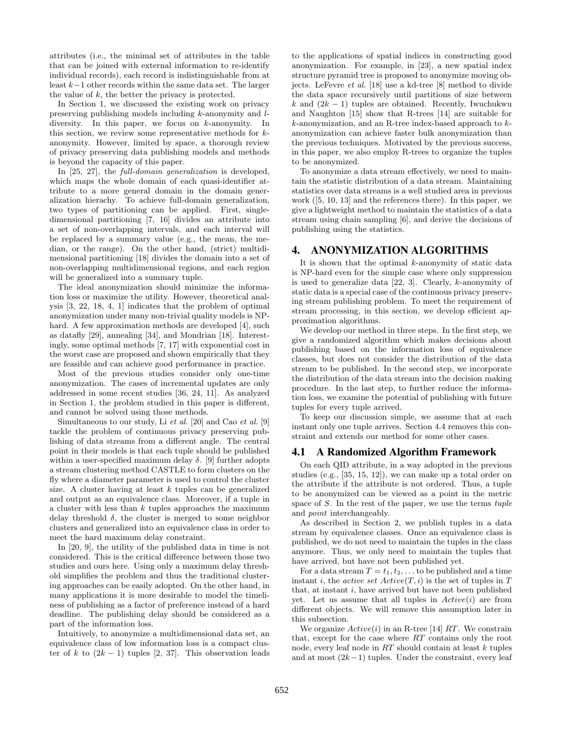attributes (i.e., the minimal set of attributes in the table that can be joined with external information to re-identify individual records), each record is indistinguishable from at least k−1 other records within the same data set. The larger the value of  $k$ , the better the privacy is protected.

In Section 1, we discussed the existing work on privacy preserving publishing models including k-anonymity and ldiversity. In this paper, we focus on k-anonymity. In this section, we review some representative methods for  $k$ anonymity. However, limited by space, a thorough review of privacy preserving data publishing models and methods is beyond the capacity of this paper.

In [25, 27], the *full-domain generalization* is developed, which maps the whole domain of each quasi-identifier attribute to a more general domain in the domain generalization hierachy. To achieve full-domain generalization, two types of partitioning can be applied. First, singledimensional partitioning [7, 16] divides an attribute into a set of non-overlapping intervals, and each interval will be replaced by a summary value (e.g., the mean, the median, or the range). On the other hand, (strict) multidimensional partitioning [18] divides the domain into a set of non-overlapping multidimensional regions, and each region will be generalized into a summary tuple.

The ideal anonymization should minimize the information loss or maximize the utility. However, theoretical analysis [3, 22, 18, 4, 1] indicates that the problem of optimal anonymization under many non-trivial quality models is NPhard. A few approximation methods are developed [4], such as datafly [29], annealing [34], and Mondrian [18]. Interestingly, some optimal methods [7, 17] with exponential cost in the worst case are proposed and shown empirically that they are feasible and can achieve good performance in practice.

Most of the previous studies consider only one-time anonymization. The cases of incremental updates are only addressed in some recent studies [36, 24, 11]. As analyzed in Section 1, the problem studied in this paper is different, and cannot be solved using those methods.

Simultaneous to our study, Li et al. [20] and Cao et al. [9] tackle the problem of continuous privacy preserving publishing of data streams from a different angle. The central point in their models is that each tuple should be published within a user-specified maximum delay  $\delta$ . [9] further adopts a stream clustering method CASTLE to form clusters on the fly where a diameter parameter is used to control the cluster size. A cluster having at least  $k$  tuples can be generalized and output as an equivalence class. Moreover, if a tuple in a cluster with less than  $k$  tuples approaches the maximum delay threshold  $\delta$ , the cluster is merged to some neighbor clusters and generalized into an equivalence class in order to meet the hard maximum delay constraint.

In [20, 9], the utility of the published data in time is not considered. This is the critical difference between those two studies and ours here. Using only a maximum delay threshold simplifies the problem and thus the traditional clustering approaches can be easily adopted. On the other hand, in many applications it is more desirable to model the timeliness of publishing as a factor of preference instead of a hard deadline. The publishing delay should be considered as a part of the information loss.

Intuitively, to anonymize a multidimensional data set, an equivalence class of low information loss is a compact cluster of k to  $(2k-1)$  tuples [2, 37]. This observation leads to the applications of spatial indices in constructing good anonymization. For example, in [23], a new spatial index structure pyramid tree is proposed to anonymize moving objects. LeFevre et al. [18] use a kd-tree [8] method to divide the data space recursively until partitions of size between k and  $(2k - 1)$  tuples are obtained. Recently, Iwuchukwu and Naughton [15] show that R-trees [14] are suitable for  $k$ -anonymization, and an R-tree index-based approach to  $k$ anonymization can achieve faster bulk anonymization than the previous techniques. Motivated by the previous success, in this paper, we also employ R-trees to organize the tuples to be anonymized.

To anonymize a data stream effectively, we need to maintain the statistic distribution of a data stream. Maintaining statistics over data streams is a well studied area in previous work ([5, 10, 13] and the references there). In this paper, we give a lightweight method to maintain the statistics of a data stream using chain sampling [6], and derive the decisions of publishing using the statistics.

# 4. ANONYMIZATION ALGORITHMS

It is shown that the optimal  $k$ -anonymity of static data is NP-hard even for the simple case where only suppression is used to generalize data [22, 3]. Clearly, k-anonymity of static data is a special case of the continuous privacy preserving stream publishing problem. To meet the requirement of stream processing, in this section, we develop efficient approximation algorithms.

We develop our method in three steps. In the first step, we give a randomized algorithm which makes decisions about publishing based on the information loss of equivalence classes, but does not consider the distribution of the data stream to be published. In the second step, we incorporate the distribution of the data stream into the decision making procedure. In the last step, to further reduce the information loss, we examine the potential of publishing with future tuples for every tuple arrived.

To keep our discussion simple, we assume that at each instant only one tuple arrives. Section 4.4 removes this constraint and extends our method for some other cases.

# 4.1 A Randomized Algorithm Framework

On each QID attribute, in a way adopted in the previous studies (e.g., [35, 15, 12]), we can make up a total order on the attribute if the attribute is not ordered. Thus, a tuple to be anonymized can be viewed as a point in the metric space of S. In the rest of the paper, we use the terms tuple and point interchangeably.

As described in Section 2, we publish tuples in a data stream by equivalence classes. Once an equivalence class is published, we do not need to maintain the tuples in the class anymore. Thus, we only need to maintain the tuples that have arrived, but have not been published yet.

For a data stream  $T = t_1, t_2, \ldots$  to be published and a time instant i, the *active set*  $Active(T, i)$  is the set of tuples in T that, at instant  $i$ , have arrived but have not been published yet. Let us assume that all tuples in  $Active(i)$  are from different objects. We will remove this assumption later in this subsection.

We organize  $Active(i)$  in an R-tree [14] RT. We constrain that, except for the case where RT contains only the root node, every leaf node in RT should contain at least k tuples and at most  $(2k-1)$  tuples. Under the constraint, every leaf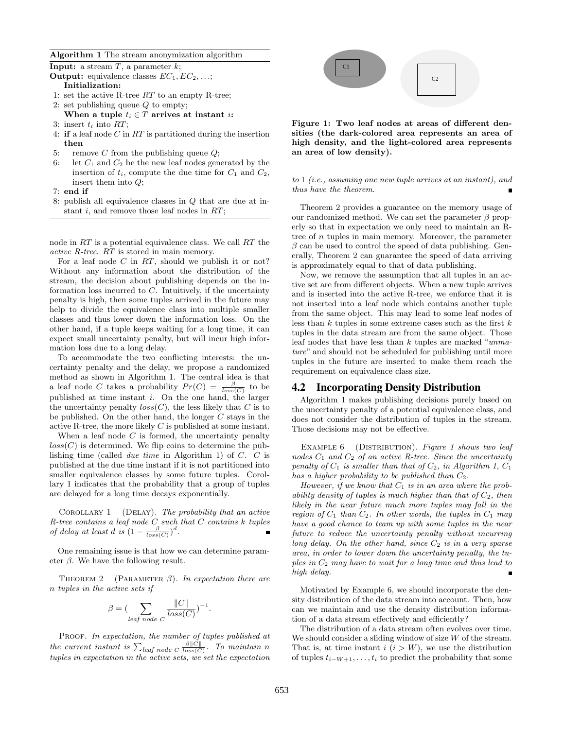Algorithm 1 The stream anonymization algorithm

**Input:** a stream  $T$ , a parameter  $k$ ;

- **Output:** equivalence classes  $EC_1, EC_2, \ldots;$ Initialization:
- 1: set the active R-tree  $RT$  to an empty R-tree;
- 2: set publishing queue  $Q$  to empty;
- When a tuple  $t_i \in T$  arrives at instant *i*: 3: insert  $t_i$  into  $RT$ :
- 4: if a leaf node  $C$  in  $RT$  is partitioned during the insertion then
- 5: remove C from the publishing queue  $Q$ ;
- 6: let  $C_1$  and  $C_2$  be the new leaf nodes generated by the insertion of  $t_i$ , compute the due time for  $C_1$  and  $C_2$ , insert them into Q;
- 7: end if
- 8: publish all equivalence classes in Q that are due at instant *i*, and remove those leaf nodes in  $RT$ ;

node in RT is a potential equivalence class. We call RT the active R-tree. RT is stored in main memory.

For a leaf node  $C$  in  $RT$ , should we publish it or not? Without any information about the distribution of the stream, the decision about publishing depends on the information loss incurred to  $C$ . Intuitively, if the uncertainty penalty is high, then some tuples arrived in the future may help to divide the equivalence class into multiple smaller classes and thus lower down the information loss. On the other hand, if a tuple keeps waiting for a long time, it can expect small uncertainty penalty, but will incur high information loss due to a long delay. **Experimental is a parameter**  $k$ **.** (Fig. 2) the active set  $RT$  is the active set of the active set of the experimental is a set of the active set of the experimental is a set of the active set of the experimental is a set

To accommodate the two conflicting interests: the uncertainty penalty and the delay, we propose a randomized method as shown in Algorithm 1. The central idea is that a leaf node C takes a probability  $Pr(C) = \frac{\beta}{loss(C)}$  to be published at time instant i. On the one hand, the larger the uncertainty penalty  $loss(C)$ , the less likely that C is to be published. On the other hand, the longer  $C$  stays in the active R-tree, the more likely C is published at some instant.

When a leaf node  $C$  is formed, the uncertainty penalty  $loss(C)$  is determined. We flip coins to determine the publishing time (called *due time* in Algorithm 1) of  $C$ .  $C$  is published at the due time instant if it is not partitioned into smaller equivalence classes by some future tuples. Corollary 1 indicates that the probability that a group of tuples are delayed for a long time decays exponentially.

COROLLARY 1 (DELAY). The probability that an active  $R$ -tree contains a leaf node  $C$  such that  $C$  contains  $k$  tuples of delay at least d is  $(1 - \frac{\beta}{\log(S)} )^d$ .

One remaining issue is that how we can determine parameter  $\beta$ . We have the following result.

THEOREM 2 (PARAMETER  $\beta$ ). In expectation there are n tuples in the active sets if

$$
\beta = \left(\sum_{\text{leaf node } C} \frac{\|C\|}{\text{loss}(C)}\right)^{-1}.
$$

PROOF. In expectation, the number of tuples published at The current instant is  $\sum_{\text{leaf node } C} \frac{\beta[\vert C \vert]}{\log(S)}$ . To maintain n



Figure 1: Two leaf nodes at areas of different densities (the dark-colored area represents an area of high density, and the light-colored area represents an area of low density).

to 1 (i.e., assuming one new tuple arrives at an instant), and thus have the theorem.

Theorem 2 provides a guarantee on the memory usage of our randomized method. We can set the parameter  $\beta$  properly so that in expectation we only need to maintain an Rtree of n tuples in main memory. Moreover, the parameter  $\beta$  can be used to control the speed of data publishing. Generally, Theorem 2 can guarantee the speed of data arriving is approximately equal to that of data publishing.

Now, we remove the assumption that all tuples in an active set are from different objects. When a new tuple arrives and is inserted into the active R-tree, we enforce that it is not inserted into a leaf node which contains another tuple from the same object. This may lead to some leaf nodes of less than  $k$  tuples in some extreme cases such as the first  $k$ tuples in the data stream are from the same object. Those leaf nodes that have less than  $k$  tuples are marked "unmature" and should not be scheduled for publishing until more tuples in the future are inserted to make them reach the requirement on equivalence class size.

# 4.2 Incorporating Density Distribution

Algorithm 1 makes publishing decisions purely based on the uncertainty penalty of a potential equivalence class, and does not consider the distribution of tuples in the stream. Those decisions may not be effective.

EXAMPLE  $6$  (DISTRIBUTION). Figure 1 shows two leaf nodes  $C_1$  and  $C_2$  of an active R-tree. Since the uncertainty penalty of  $C_1$  is smaller than that of  $C_2$ , in Algorithm 1,  $C_1$ has a higher probability to be published than  $C_2$ .

However, if we know that  $C_1$  is in an area where the probability density of tuples is much higher than that of  $C_2$ , then likely in the near future much more tuples may fall in the region of  $C_1$  than  $C_2$ . In other words, the tuples in  $C_1$  may have a good chance to team up with some tuples in the near future to reduce the uncertainty penalty without incurring long delay. On the other hand, since  $C_2$  is in a very sparse area, in order to lower down the uncertainty penalty, the tuples in  $C_2$  may have to wait for a long time and thus lead to high delay.

Motivated by Example 6, we should incorporate the density distribution of the data stream into account. Then, how can we maintain and use the density distribution information of a data stream effectively and efficiently?

The distribution of a data stream often evolves over time. We should consider a sliding window of size  $W$  of the stream. That is, at time instant  $i$   $(i > W)$ , we use the distribution of tuples  $t_{i-W+1}, \ldots, t_i$  to predict the probability that some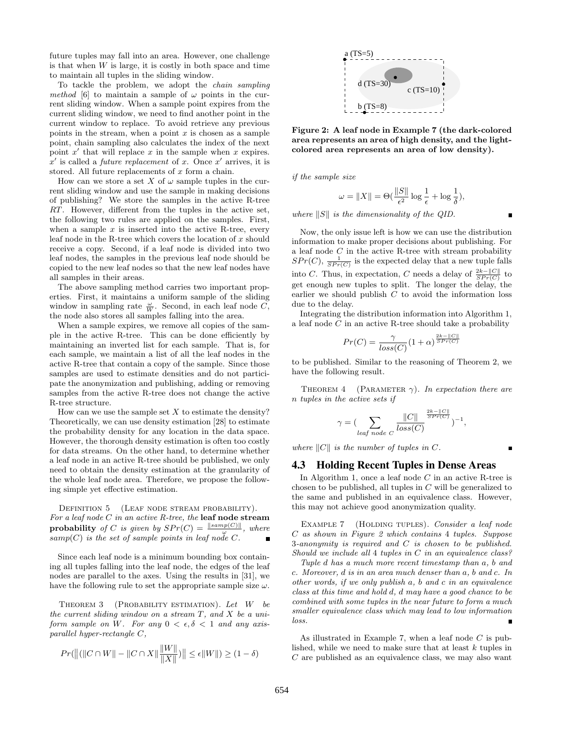future tuples may fall into an area. However, one challenge is that when  $W$  is large, it is costly in both space and time to maintain all tuples in the sliding window.

To tackle the problem, we adopt the chain sampling method [6] to maintain a sample of  $\omega$  points in the current sliding window. When a sample point expires from the current sliding window, we need to find another point in the current window to replace. To avoid retrieve any previous points in the stream, when a point  $x$  is chosen as a sample point, chain sampling also calculates the index of the next point  $x'$  that will replace x in the sample when x expires.  $x'$  is called a *future replacement* of x. Once x' arrives, it is stored. All future replacements of  $x$  form a chain.

How can we store a set X of  $\omega$  sample tuples in the current sliding window and use the sample in making decisions of publishing? We store the samples in the active R-tree RT. However, different from the tuples in the active set, the following two rules are applied on the samples. First, when a sample  $x$  is inserted into the active R-tree, every leaf node in the R-tree which covers the location of  $x$  should receive a copy. Second, if a leaf node is divided into two leaf nodes, the samples in the previous leaf node should be copied to the new leaf nodes so that the new leaf nodes have all samples in their areas.

The above sampling method carries two important properties. First, it maintains a uniform sample of the sliding window in sampling rate  $\frac{\omega}{W}$ . Second, in each leaf node C, the node also stores all samples falling into the area.

When a sample expires, we remove all copies of the sample in the active R-tree. This can be done efficiently by maintaining an inverted list for each sample. That is, for each sample, we maintain a list of all the leaf nodes in the active R-tree that contain a copy of the sample. Since those samples are used to estimate densities and do not participate the anonymization and publishing, adding or removing samples from the active R-tree does not change the active R-tree structure.

How can we use the sample set  $X$  to estimate the density? Theoretically, we can use density estimation [28] to estimate the probability density for any location in the data space. However, the thorough density estimation is often too costly for data streams. On the other hand, to determine whether a leaf node in an active R-tree should be published, we only need to obtain the density estimation at the granularity of the whole leaf node area. Therefore, we propose the following simple yet effective estimation.

DEFINITION 5 (LEAF NODE STREAM PROBABILITY). For a leaf node  $C$  in an active  $R$ -tree, the leaf node stream **probability** of C is given by  $SPr(C) = \frac{\| samp(C) \|}{\| G}$ , where probability by  $\bigcirc$  is given by  $\bigcirc$  if  $\bigcirc$   $\bigcirc$  =  $\bigcirc$ <br>samp(C) is the set of sample points in leaf node C.

Since each leaf node is a minimum bounding box containing all tuples falling into the leaf node, the edges of the leaf nodes are parallel to the axes. Using the results in [31], we have the following rule to set the appropriate sample size  $\omega$ .

THEOREM 3 (PROBABILITY ESTIMATION). Let  $W$  be the current sliding window on a stream  $T$ , and  $X$  be a uniform sample on W. For any  $0 < \epsilon, \delta < 1$  and any axisparallel hyper-rectangle C,

$$
Pr(||(||C \cap W|| - ||C \cap X|| \frac{||W||}{||X||})|| \le \epsilon ||W||) \ge (1 - \delta)
$$



Figure 2: A leaf node in Example 7 (the dark-colored area represents an area of high density, and the lightcolored area represents an area of low density).

if the sample size

$$
\omega = \|X\| = \Theta\left(\frac{\|S\|}{\epsilon^2} \log \frac{1}{\epsilon} + \log \frac{1}{\delta}\right),\,
$$

where  $||S||$  is the dimensionality of the QID.

Now, the only issue left is how we can use the distribution information to make proper decisions about publishing. For a leaf node  $C$  in the active R-tree with stream probability  $SPr(C), \frac{1}{SPr(C)}$  is the expected delay that a new tuple falls into C. Thus, in expectation, C needs a delay of  $\frac{2k - ||C||}{SP_T(C)}$  to get enough new tuples to split. The longer the delay, the earlier we should publish  $C$  to avoid the information loss due to the delay.

Integrating the distribution information into Algorithm 1, a leaf node  $C$  in an active R-tree should take a probability

$$
Pr(C) = \frac{\gamma}{loss(C)} (1 + \alpha)^{\frac{2k - ||C||}{SPr(C)}}
$$

to be published. Similar to the reasoning of Theorem 2, we have the following result.

THEOREM 4 (PARAMETER  $\gamma$ ). In expectation there are n tuples in the active sets if

$$
\gamma = (\sum_{leaf\ node\ C} \frac{\|C\|^{-\frac{2k-\|C\|}{SPr(C)}}}{loss(C)})^{-1},
$$

where  $||C||$  is the number of tuples in C.

# 4.3 Holding Recent Tuples in Dense Areas

In Algorithm 1, once a leaf node  $C$  in an active R-tree is chosen to be published, all tuples in  $C$  will be generalized to the same and published in an equivalence class. However, this may not achieve good anonymization quality.

EXAMPLE 7 (HOLDING TUPLES). Consider a leaf node C as shown in Figure 2 which contains 4 tuples. Suppose 3-anonymity is required and C is chosen to be published. Should we include all 4 tuples in C in an equivalence class?

Tuple d has a much more recent timestamp than a, b and c. Moreover, d is in an area much denser than a, b and c. In other words, if we only publish a, b and c in an equivalence class at this time and hold d, d may have a good chance to be combined with some tuples in the near future to form a much smaller equivalence class which may lead to low information loss.

As illustrated in Example 7, when a leaf node  $C$  is published, while we need to make sure that at least k tuples in  $C$  are published as an equivalence class, we may also want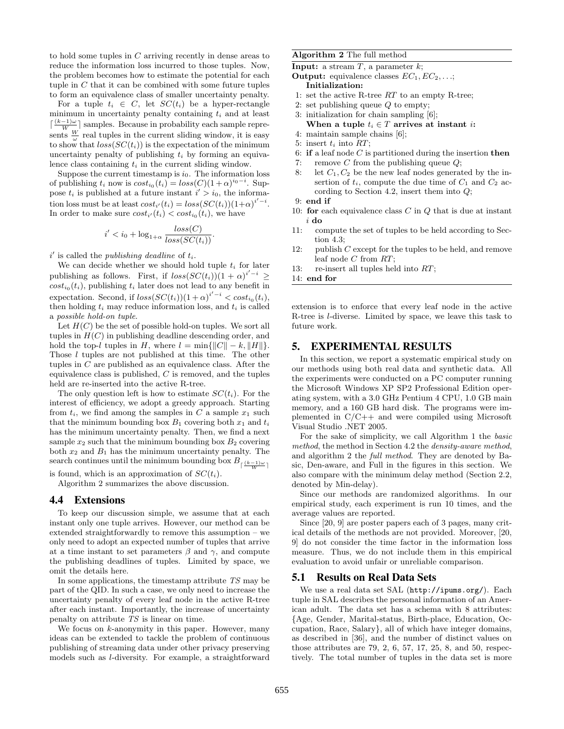to hold some tuples in C arriving recently in dense areas to reduce the information loss incurred to those tuples. Now, the problem becomes how to estimate the potential for each tuple in  $C$  that it can be combined with some future tuples to form an equivalence class of smaller uncertainty penalty.

For a tuple  $t_i \in C$ , let  $SC(t_i)$  be a hyper-rectangle minimum in uncertainty penalty containing  $t_i$  and at least  $\lceil \frac{(k-1)ω}{W} \rceil$  samples. Because in probability each sample represents  $\frac{W}{\omega}$  real tuples in the current sliding window, it is easy to show that  $loss(SC(t_i))$  is the expectation of the minimum uncertainty penalty of publishing  $t_i$  by forming an equivalence class containing  $t_i$  in the current sliding window.

Suppose the current timestamp is  $i_0$ . The information loss of publishing  $t_i$  now is  $cost_{i_0}(t_i) = loss(C)(1+\alpha)^{i_0-i}$ . Suppose  $t_i$  is published at a future instant  $i' > i_0$ , the information loss must be at least  $cost_{i'}(t_i) = loss(SC(t_i))(1+\alpha)^{i'-i}$ . In order to make sure  $cost_{i'}(t_i) < cost_{i_0}(t_i)$ , we have

$$
i' < i_0 + \log_{1+\alpha} \frac{loss(C)}{loss(SC(t_i))}.
$$

 $i'$  is called the *publishing deadline* of  $t_i$ .

We can decide whether we should hold tuple  $t_i$  for later publishing as follows. First, if  $loss(SC(t_i))(1+\alpha)^{i'-i} \geq$  $cost_{i_0}(t_i)$ , publishing  $t_i$  later does not lead to any benefit in expectation. Second, if  $loss(SC(t_i))(1+\alpha)^{i'-i} < cost_{i_0}(t_i)$ , then holding  $t_i$  may reduce information loss, and  $t_i$  is called a possible hold-on tuple.

Let  $H(C)$  be the set of possible hold-on tuples. We sort all tuples in  $H(C)$  in publishing deadline descending order, and hold the top-l tuples in H, where  $l = \min\{||C|| - k, ||H||\}.$ Those *l* tuples are not published at this time. The other tuples in  $C$  are published as an equivalence class. After the equivalence class is published, C is removed, and the tuples held are re-inserted into the active R-tree.

The only question left is how to estimate  $SC(t_i)$ . For the interest of efficiency, we adopt a greedy approach. Starting from  $t_i$ , we find among the samples in C a sample  $x_1$  such that the minimum bounding box  $B_1$  covering both  $x_1$  and  $t_i$ has the minimum uncertainty penalty. Then, we find a next sample  $x_2$  such that the minimum bounding box  $B_2$  covering both  $x_2$  and  $B_1$  has the minimum uncertainty penalty. The search continues until the minimum bounding box  $B_{\lceil \frac{(k-1)\omega}{W} \rceil}$ 

is found, which is an approximation of  $SC(t_i)$ . Algorithm 2 summarizes the above discussion.

#### 4.4 Extensions

To keep our discussion simple, we assume that at each instant only one tuple arrives. However, our method can be extended straightforwardly to remove this assumption – we only need to adopt an expected number of tuples that arrive at a time instant to set parameters  $\beta$  and  $\gamma$ , and compute the publishing deadlines of tuples. Limited by space, we omit the details here.

In some applications, the timestamp attribute TS may be part of the QID. In such a case, we only need to increase the uncertainty penalty of every leaf node in the active R-tree after each instant. Importantly, the increase of uncertainty penalty on attribute TS is linear on time.

We focus on  $k$ -anonymity in this paper. However, many ideas can be extended to tackle the problem of continuous publishing of streaming data under other privacy preserving models such as l-diversity. For example, a straightforward

#### Algorithm 2 The full method

**Input:** a stream  $T$ , a parameter  $k$ ; **Output:** equivalence classes  $EC_1, EC_2, \ldots;$ 

- Initialization:
- 1: set the active R-tree  $RT$  to an empty R-tree;
- 2: set publishing queue  $Q$  to empty;
- 3: initialization for chain sampling [6];
- When a tuple  $t_i \in T$  arrives at instant *i*: 4: maintain sample chains [6];
- 5: insert  $t_i$  into  $RT$ ;
- 6: if a leaf node  $C$  is partitioned during the insertion then
- 7: remove  $C$  from the publishing queue  $Q$ ;
- 8: let  $C_1, C_2$  be the new leaf nodes generated by the insertion of  $t_i$ , compute the due time of  $C_1$  and  $C_2$  according to Section 4.2, insert them into Q;
- 9: end if
- 10: for each equivalence class  $C$  in  $Q$  that is due at instant i do
- 11: compute the set of tuples to be held according to Section 4.3;
- 12: publish C except for the tuples to be held, and remove leaf node  $C$  from  $RT$ ;
- 13: re-insert all tuples held into RT;
- 14: end for

extension is to enforce that every leaf node in the active R-tree is l-diverse. Limited by space, we leave this task to future work.

# 5. EXPERIMENTAL RESULTS

In this section, we report a systematic empirical study on our methods using both real data and synthetic data. All the experiments were conducted on a PC computer running the Microsoft Windows XP SP2 Professional Edition operating system, with a 3.0 GHz Pentium 4 CPU, 1.0 GB main memory, and a 160 GB hard disk. The programs were implemented in C/C++ and were compiled using Microsoft Visual Studio .NET 2005.

For the sake of simplicity, we call Algorithm 1 the basic method, the method in Section 4.2 the density-aware method, and algorithm 2 the full method. They are denoted by Basic, Den-aware, and Full in the figures in this section. We also compare with the minimum delay method (Section 2.2, denoted by Min-delay).

Since our methods are randomized algorithms. In our empirical study, each experiment is run 10 times, and the average values are reported.

Since [20, 9] are poster papers each of 3 pages, many critical details of the methods are not provided. Moreover, [20, 9] do not consider the time factor in the information loss measure. Thus, we do not include them in this empirical evaluation to avoid unfair or unreliable comparison.

#### 5.1 Results on Real Data Sets

We use a real data set SAL (http://ipums.org/). Each tuple in SAL describes the personal information of an American adult. The data set has a schema with 8 attributes: {Age, Gender, Marital-status, Birth-place, Education, Occupation, Race, Salary}, all of which have integer domains, as described in [36], and the number of distinct values on those attributes are 79, 2, 6, 57, 17, 25, 8, and 50, respectively. The total number of tuples in the data set is more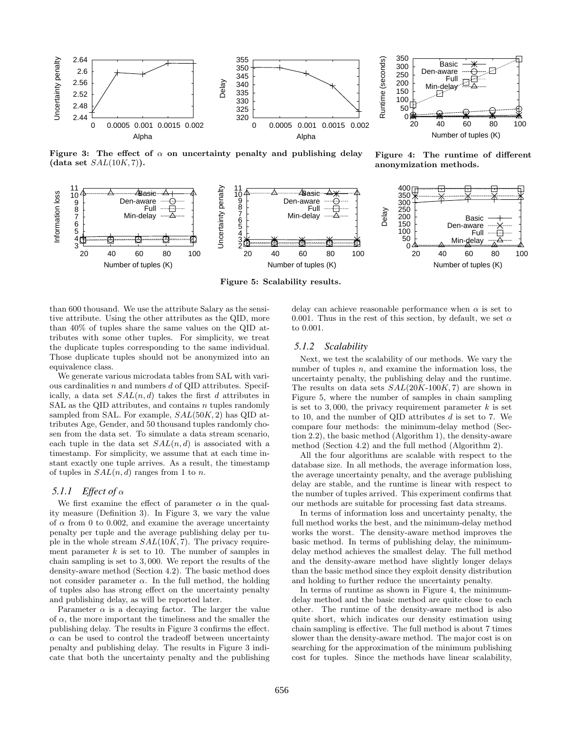

Figure 3: The effect of  $\alpha$  on uncertainty penalty and publishing delay (data set  $SAL(10K, 7)$ ).



Figure 4: The runtime of different anonymization methods.



Figure 5: Scalability results.

than 600 thousand. We use the attribute Salary as the sensitive attribute. Using the other attributes as the QID, more than 40% of tuples share the same values on the QID attributes with some other tuples. For simplicity, we treat the duplicate tuples corresponding to the same individual. Those duplicate tuples should not be anonymized into an equivalence class.

We generate various microdata tables from SAL with various cardinalities n and numbers d of QID attributes. Specifically, a data set  $SAL(n, d)$  takes the first d attributes in SAL as the QID attributes, and contains  $n$  tuples randomly sampled from SAL. For example,  $SAL(50K, 2)$  has QID attributes Age, Gender, and 50 thousand tuples randomly chosen from the data set. To simulate a data stream scenario, each tuple in the data set  $SAL(n, d)$  is associated with a timestamp. For simplicity, we assume that at each time instant exactly one tuple arrives. As a result, the timestamp of tuples in  $SAL(n, d)$  ranges from 1 to n.

# *5.1.1 Effect of* α

We first examine the effect of parameter  $\alpha$  in the quality measure (Definition 3). In Figure 3, we vary the value of  $\alpha$  from 0 to 0.002, and examine the average uncertainty penalty per tuple and the average publishing delay per tuple in the whole stream  $SAL(10K, 7)$ . The privacy requirement parameter  $k$  is set to 10. The number of samples in chain sampling is set to 3, 000. We report the results of the density-aware method (Section 4.2). The basic method does not consider parameter  $\alpha$ . In the full method, the holding of tuples also has strong effect on the uncertainty penalty and publishing delay, as will be reported later.

Parameter  $\alpha$  is a decaying factor. The larger the value of  $\alpha$ , the more important the timeliness and the smaller the publishing delay. The results in Figure 3 confirms the effect.  $\alpha$  can be used to control the tradeoff between uncertainty penalty and publishing delay. The results in Figure 3 indicate that both the uncertainty penalty and the publishing delay can achieve reasonable performance when  $\alpha$  is set to 0.001. Thus in the rest of this section, by default, we set  $\alpha$ to 0.001.

#### *5.1.2 Scalability*

Next, we test the scalability of our methods. We vary the number of tuples  $n$ , and examine the information loss, the uncertainty penalty, the publishing delay and the runtime. The results on data sets  $SAL(20K-100K, 7)$  are shown in Figure 5, where the number of samples in chain sampling is set to 3,000, the privacy requirement parameter  $k$  is set to 10, and the number of QID attributes d is set to 7. We compare four methods: the minimum-delay method (Section 2.2), the basic method (Algorithm 1), the density-aware method (Section 4.2) and the full method (Algorithm 2).

All the four algorithms are scalable with respect to the database size. In all methods, the average information loss, the average uncertainty penalty, and the average publishing delay are stable, and the runtime is linear with respect to the number of tuples arrived. This experiment confirms that our methods are suitable for processing fast data streams.

In terms of information loss and uncertainty penalty, the full method works the best, and the minimum-delay method works the worst. The density-aware method improves the basic method. In terms of publishing delay, the minimumdelay method achieves the smallest delay. The full method and the density-aware method have slightly longer delays than the basic method since they exploit density distribution and holding to further reduce the uncertainty penalty.

In terms of runtime as shown in Figure 4, the minimumdelay method and the basic method are quite close to each other. The runtime of the density-aware method is also quite short, which indicates our density estimation using chain sampling is effective. The full method is about 7 times slower than the density-aware method. The major cost is on searching for the approximation of the minimum publishing cost for tuples. Since the methods have linear scalability,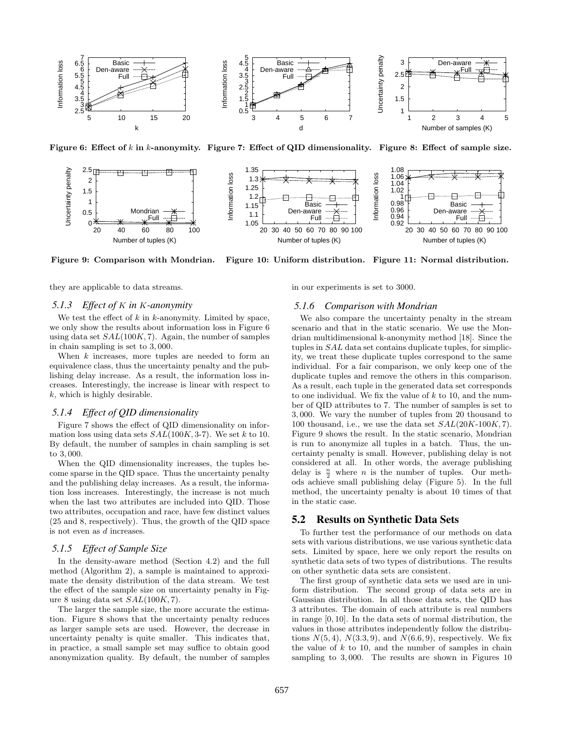

Figure 6: Effect of k in k-anonymity. Figure 7: Effect of QID dimensionality. Figure 8: Effect of sample size.



Figure 9: Comparison with Mondrian. Figure 10: Uniform distribution. Figure 11: Normal distribution.

they are applicable to data streams.

# *5.1.3 Effect of* K *in* K*-anonymity*

We test the effect of  $k$  in  $k$ -anonymity. Limited by space, we only show the results about information loss in Figure 6 using data set  $SAL(100K, 7)$ . Again, the number of samples in chain sampling is set to 3, 000.

When  $k$  increases, more tuples are needed to form an equivalence class, thus the uncertainty penalty and the publishing delay increase. As a result, the information loss increases. Interestingly, the increase is linear with respect to  $k$ , which is highly desirable.

# *5.1.4 Effect of QID dimensionality*

Figure 7 shows the effect of QID dimensionality on information loss using data sets  $SAL(100K, 3-7)$ . We set k to 10. By default, the number of samples in chain sampling is set to 3, 000.

When the QID dimensionality increases, the tuples become sparse in the QID space. Thus the uncertainty penalty and the publishing delay increases. As a result, the information loss increases. Interestingly, the increase is not much when the last two attributes are included into QID. Those two attributes, occupation and race, have few distinct values (25 and 8, respectively). Thus, the growth of the QID space is not even as d increases.

#### *5.1.5 Effect of Sample Size*

In the density-aware method (Section 4.2) and the full method (Algorithm 2), a sample is maintained to approximate the density distribution of the data stream. We test the effect of the sample size on uncertainty penalty in Figure 8 using data set  $SAL(100K, 7)$ .

The larger the sample size, the more accurate the estimation. Figure 8 shows that the uncertainty penalty reduces as larger sample sets are used. However, the decrease in uncertainty penalty is quite smaller. This indicates that, in practice, a small sample set may suffice to obtain good anonymization quality. By default, the number of samples in our experiments is set to 3000.

#### *5.1.6 Comparison with Mondrian*

We also compare the uncertainty penalty in the stream scenario and that in the static scenario. We use the Mondrian multidimensional k-anonymity method [18]. Since the tuples in SAL data set contains duplicate tuples, for simplicity, we treat these duplicate tuples correspond to the same individual. For a fair comparison, we only keep one of the duplicate tuples and remove the others in this comparison. As a result, each tuple in the generated data set corresponds to one individual. We fix the value of  $k$  to 10, and the number of QID attributes to 7. The number of samples is set to 3, 000. We vary the number of tuples from 20 thousand to 100 thousand, i.e., we use the data set  $SAL(20K-100K, 7)$ . Figure 9 shows the result. In the static scenario, Mondrian is run to anonymize all tuples in a batch. Thus, the uncertainty penalty is small. However, publishing delay is not considered at all. In other words, the average publishing delay is  $\frac{n}{2}$  where *n* is the number of tuples. Our methods achieve small publishing delay (Figure 5). In the full method, the uncertainty penalty is about 10 times of that in the static case.

#### 5.2 Results on Synthetic Data Sets

To further test the performance of our methods on data sets with various distributions, we use various synthetic data sets. Limited by space, here we only report the results on synthetic data sets of two types of distributions. The results on other synthetic data sets are consistent.

The first group of synthetic data sets we used are in uniform distribution. The second group of data sets are in Gaussian distribution. In all those data sets, the QID has 3 attributes. The domain of each attribute is real numbers in range [0, 10]. In the data sets of normal distribution, the values in those attributes independently follow the distributions  $N(5, 4)$ ,  $N(3.3, 9)$ , and  $N(6.6, 9)$ , respectively. We fix the value of  $k$  to 10, and the number of samples in chain sampling to 3,000. The results are shown in Figures 10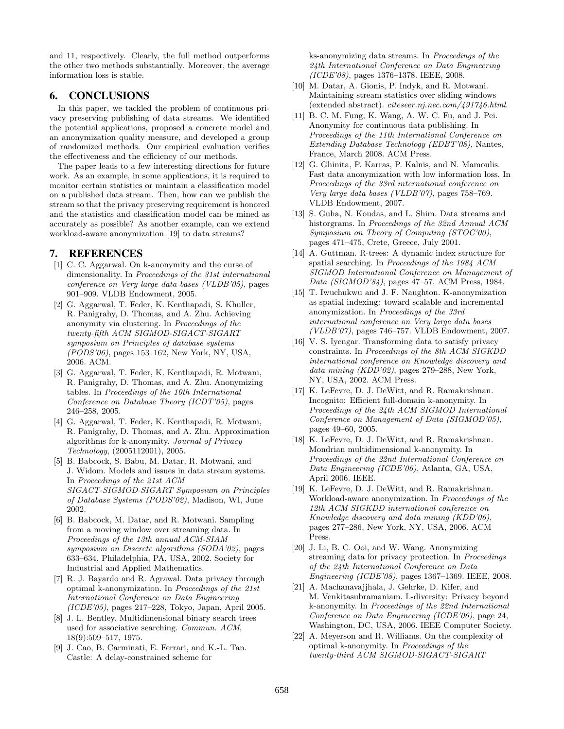and 11, respectively. Clearly, the full method outperforms the other two methods substantially. Moreover, the average information loss is stable.

# 6. CONCLUSIONS

In this paper, we tackled the problem of continuous privacy preserving publishing of data streams. We identified the potential applications, proposed a concrete model and an anonymization quality measure, and developed a group of randomized methods. Our empirical evaluation verifies the effectiveness and the efficiency of our methods.

The paper leads to a few interesting directions for future work. As an example, in some applications, it is required to monitor certain statistics or maintain a classification model on a published data stream. Then, how can we publish the stream so that the privacy preserving requirement is honored and the statistics and classification model can be mined as accurately as possible? As another example, can we extend workload-aware anonymization [19] to data streams?

# 7. REFERENCES

- [1] C. C. Aggarwal. On k-anonymity and the curse of dimensionality. In Proceedings of the 31st international conference on Very large data bases (VLDB'05), pages 901–909. VLDB Endowment, 2005.
- [2] G. Aggarwal, T. Feder, K. Kenthapadi, S. Khuller, R. Panigrahy, D. Thomas, and A. Zhu. Achieving anonymity via clustering. In Proceedings of the twenty-fifth ACM SIGMOD-SIGACT-SIGART symposium on Principles of database systems (PODS'06), pages 153–162, New York, NY, USA, 2006. ACM.
- [3] G. Aggarwal, T. Feder, K. Kenthapadi, R. Motwani, R. Panigrahy, D. Thomas, and A. Zhu. Anonymizing tables. In Proceedings of the 10th International Conference on Database Theory (ICDT'05), pages 246–258, 2005.
- [4] G. Aggarwal, T. Feder, K. Kenthapadi, R. Motwani, R. Panigrahy, D. Thomas, and A. Zhu. Approximation algorithms for k-anonymity. Journal of Privacy Technology, (2005112001), 2005.
- [5] B. Babcock, S. Babu, M. Datar, R. Motwani, and J. Widom. Models and issues in data stream systems. In Proceedings of the 21st ACM SIGACT-SIGMOD-SIGART Symposium on Principles of Database Systems (PODS'02), Madison, WI, June 2002.
- [6] B. Babcock, M. Datar, and R. Motwani. Sampling from a moving window over streaming data. In Proceedings of the 13th annual ACM-SIAM symposium on Discrete algorithms (SODA'02), pages 633–634, Philadelphia, PA, USA, 2002. Society for Industrial and Applied Mathematics.
- [7] R. J. Bayardo and R. Agrawal. Data privacy through optimal k-anonymization. In Proceedings of the 21st International Conference on Data Engineering (ICDE'05), pages 217–228, Tokyo, Japan, April 2005.
- [8] J. L. Bentley. Multidimensional binary search trees used for associative searching. Commun. ACM, 18(9):509–517, 1975.
- [9] J. Cao, B. Carminati, E. Ferrari, and K.-L. Tan. Castle: A delay-constrained scheme for

ks-anonymizing data streams. In Proceedings of the 24th International Conference on Data Engineering (ICDE'08), pages 1376–1378. IEEE, 2008.

- [10] M. Datar, A. Gionis, P. Indyk, and R. Motwani. Maintaining stream statistics over sliding windows (extended abstract). citeseer.nj.nec.com/491746.html.
- [11] B. C. M. Fung, K. Wang, A. W. C. Fu, and J. Pei. Anonymity for continuous data publishing. In Proceedings of the 11th International Conference on Extending Database Technology (EDBT'08), Nantes, France, March 2008. ACM Press.
- [12] G. Ghinita, P. Karras, P. Kalnis, and N. Mamoulis. Fast data anonymization with low information loss. In Proceedings of the 33rd international conference on Very large data bases (VLDB'07), pages 758–769. VLDB Endowment, 2007.
- [13] S. Guha, N. Koudas, and L. Shim. Data streams and historgrams. In Proceedings of the 32nd Annual ACM Symposium on Theory of Computing (STOC'00), pages 471–475, Crete, Greece, July 2001.
- [14] A. Guttman. R-trees: A dynamic index structure for spatial searching. In Proceedings of the 1984 ACM SIGMOD International Conference on Management of Data (SIGMOD'84), pages 47–57. ACM Press, 1984.
- [15] T. Iwuchukwu and J. F. Naughton. K-anonymization as spatial indexing: toward scalable and incremental anonymization. In Proceedings of the 33rd international conference on Very large data bases (VLDB'07), pages 746–757. VLDB Endowment, 2007.
- [16] V. S. Iyengar. Transforming data to satisfy privacy constraints. In Proceedings of the 8th ACM SIGKDD international conference on Knowledge discovery and data mining (KDD'02), pages 279–288, New York, NY, USA, 2002. ACM Press.
- [17] K. LeFevre, D. J. DeWitt, and R. Ramakrishnan. Incognito: Efficient full-domain k-anonymity. In Proceedings of the 24th ACM SIGMOD International Conference on Management of Data (SIGMOD'05), pages 49–60, 2005.
- [18] K. LeFevre, D. J. DeWitt, and R. Ramakrishnan. Mondrian multidimensional k-anonymity. In Proceedings of the 22nd International Conference on Data Engineering (ICDE'06), Atlanta, GA, USA, April 2006. IEEE.
- [19] K. LeFevre, D. J. DeWitt, and R. Ramakrishnan. Workload-aware anonymization. In Proceedings of the 12th ACM SIGKDD international conference on Knowledge discovery and data mining (KDD'06), pages 277–286, New York, NY, USA, 2006. ACM Press.
- [20] J. Li, B. C. Ooi, and W. Wang. Anonymizing streaming data for privacy protection. In Proceedings of the 24th International Conference on Data Engineering (ICDE'08), pages 1367–1369. IEEE, 2008.
- [21] A. Machanavajjhala, J. Gehrke, D. Kifer, and M. Venkitasubramaniam. L-diversity: Privacy beyond k-anonymity. In Proceedings of the 22nd International Conference on Data Engineering (ICDE'06), page 24, Washington, DC, USA, 2006. IEEE Computer Society.
- [22] A. Meyerson and R. Williams. On the complexity of optimal k-anonymity. In Proceedings of the twenty-third ACM SIGMOD-SIGACT-SIGART